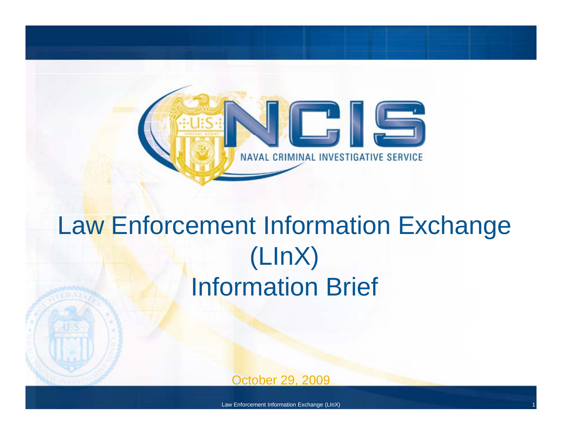

## Law Enforcement Information Exchange (LInX) Information Brief

October 29, 2009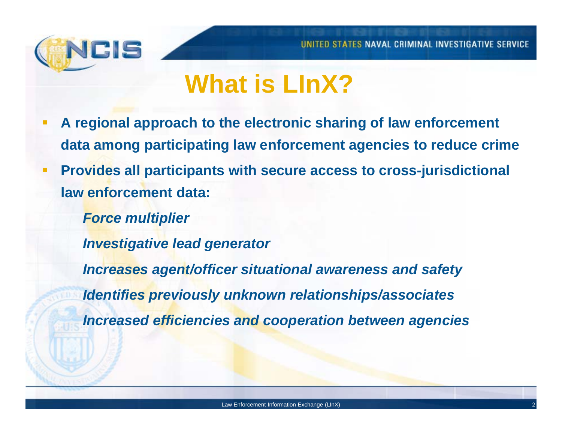

### **What is LInX?**

- **A regional approach to the electronic sharing of law enforcement data among participating law enforcement agencies to reduce crime**
- **Provides all participants with secure access to cross-jurisdictional l f td t law enforcement data:**
	- *Force multiplier*
	- *Investigative lead generator*
	- *Increases agent/officer situational awareness and safety*
	- *Identifies previously unknown relationships/associates*
	- *Increased efficiencies and cooperation between agencies*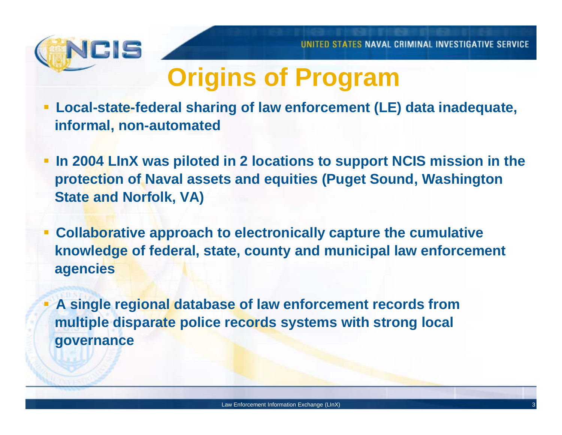

## **Origins of Program**

- **Local-state-federal sharing of law enforcement (LE) data inadequate, informal, non-automated**
- **In 2004 LInX was piloted in 2 locations to support NCIS mission in the protection of Naval assets and equities (Puget Sound, Washington State and Norfolk, VA)**
- **Collaborative approach to electronically capture the cumulative knowledge of federal, state, county and municipal law enforcement agencies**
- T A single regional database of law enforcement records from **multiple disparate police records systems with strong local governance**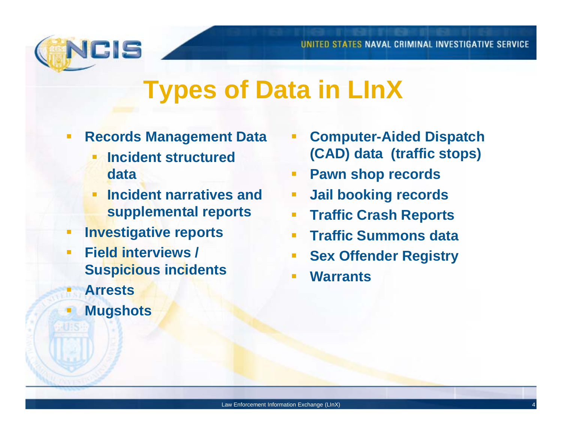

### **Types of Data in LInX**

- **Records Management Data**
	- **Incident structured data**
	- $\blacksquare$  **lncident narratives and supplemental reports**
- **Investigative reports**
- $\blacksquare$  **Field interviews / Suspicious incidents**
- **ArrestsMugshots**
- **F** Computer-Aided Dispatch **(CAD) data (traffic stops)**
- **Pawn shop records**
- **d**  $\blacksquare$  **Jail booking records** 
	- **Traffic Crash Reports**
	- **Traffic Summons data**
	- **Sex Offender Registry**
	- **Warrants**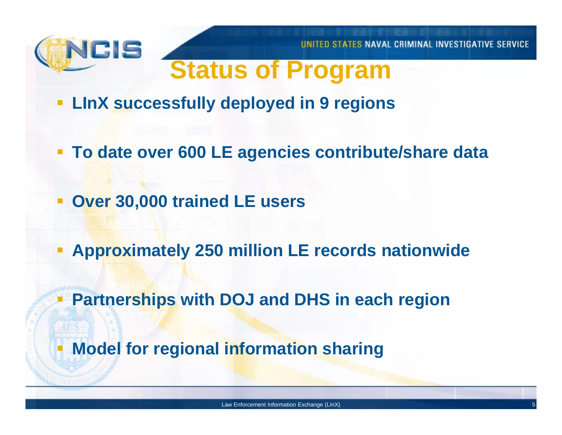

UNITED STATES NAVAL CRIMINAL INVESTIGATIVE SERVICE

### **Status of Program**

- **LInX successfully deployed in 9 regions**
- **To date over 600 LE agencies contribute/share data**
- **Over 30,000 trained LE users**
- **A i t l 250 illi LE d ti id Approximately 250 million LE records nationwide**
- **Partnerships with DOJ and DHS in each region**
- Е **Model for regional information sharing**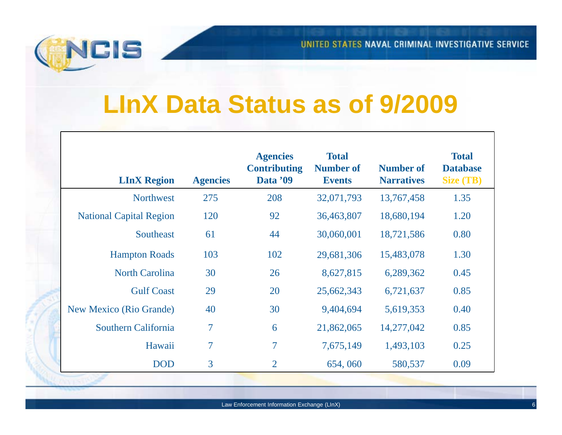

### **LInX Data Status as of 9/2009**

| <b>LInX Region</b>             | <b>Agencies</b> | <b>Agencies</b><br><b>Contributing</b><br>Data '09 | <b>Total</b><br><b>Number of</b><br><b>Events</b> | <b>Number of</b><br><b>Narratives</b> | <b>Total</b><br><b>Database</b><br><b>Size (TB)</b> |
|--------------------------------|-----------------|----------------------------------------------------|---------------------------------------------------|---------------------------------------|-----------------------------------------------------|
| <b>Northwest</b>               | 275             | 208                                                | 32,071,793                                        | 13,767,458                            | 1.35                                                |
| <b>National Capital Region</b> | 120             | 92                                                 | 36,463,807                                        | 18,680,194                            | 1.20                                                |
| Southeast                      | 61              | 44                                                 | 30,060,001                                        | 18,721,586                            | 0.80                                                |
| <b>Hampton Roads</b>           | 103             | 102                                                | 29,681,306                                        | 15,483,078                            | 1.30                                                |
| <b>North Carolina</b>          | 30              | 26                                                 | 8,627,815                                         | 6,289,362                             | 0.45                                                |
| <b>Gulf Coast</b>              | 29              | 20                                                 | 25,662,343                                        | 6,721,637                             | 0.85                                                |
| <b>New Mexico (Rio Grande)</b> | 40              | 30                                                 | 9,404,694                                         | 5,619,353                             | 0.40                                                |
| Southern California            | $\overline{7}$  | 6                                                  | 21,862,065                                        | 14,277,042                            | 0.85                                                |
| Hawaii                         | $\overline{7}$  | $\overline{7}$                                     | 7,675,149                                         | 1,493,103                             | 0.25                                                |
| <b>DOD</b>                     | 3               | $\overline{2}$                                     | 654,060                                           | 580,537                               | 0.09                                                |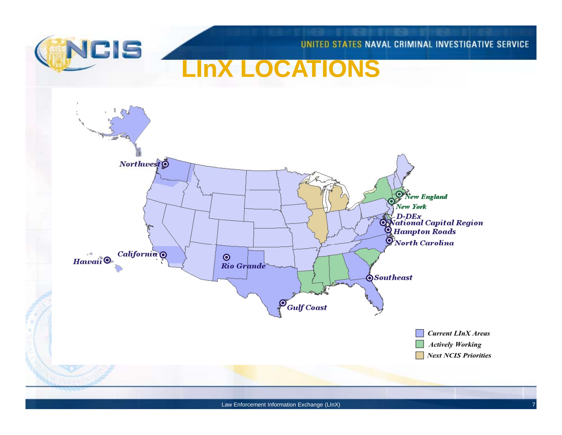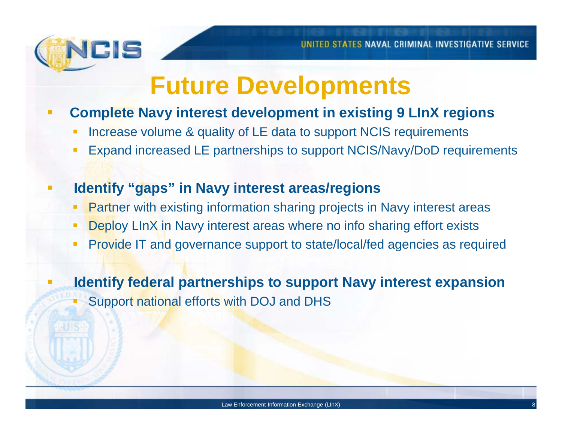

### **Future Developments**

- П **Complete Navy interest development in existing 9 LInX regions**
	- **Increase volume & quality of LE data to support NCIS requirements**
	- Expand increased LE partnerships to support NCIS/Navy/DoD requirements

#### **Identify "gaps " in Navy interest areas/regions**

- Partner with existing information sharing projects in Navy interest areas
- Deploy LInX in Navy interest areas where no info sharing effort exists
- Provide IT and governance support to state/local/fed agencies as required

 **Identify federal partnerships to support Navy interest expansion**  Support national efforts with DOJ and DHS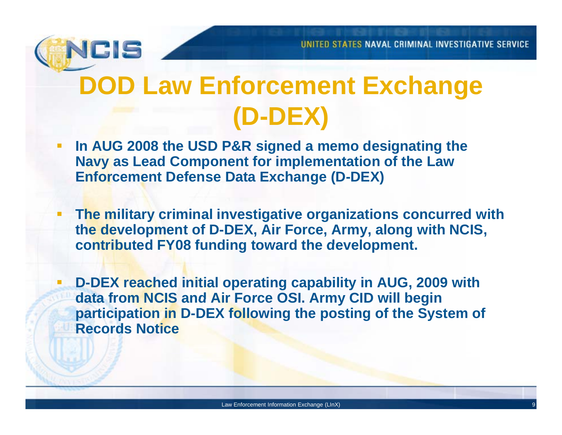

# **DOD** Law Enforcement Exchange **(D-DEX)**

- **In AUG 2008 the USD P&R signed a memo designating the Navy as Lead Component for implementation of the Law Enforcement Defense Data Exchange (D-DEX)**
- **The military criminal investigative organizations concurred with the development of D-DEX, Air Force, Army, along with NCIS, contributed FY08 funding toward the development development.**
- **D-DEX reached initial operating capability in AUG, 2009 with data from NCIS and Air Force OSI Army CID will begin OSI. Army participation in D-DEX following the posting of the System of Records Notice**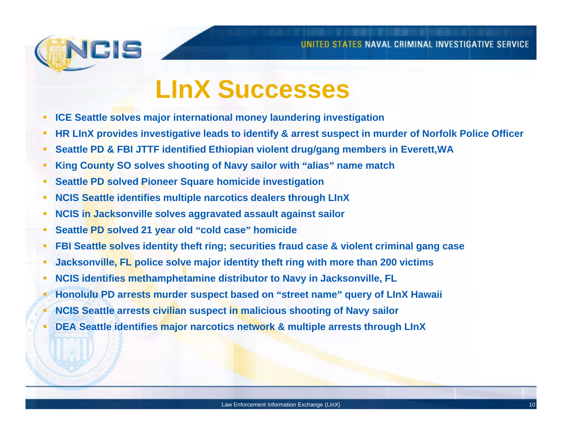

### **LInX Successes**

- **ICE Seattle solves major international money laundering investigation**
- HR LInX provides investigative leads to identify & arrest suspect in murder of Norfolk Police Officer
- **Seattle PD & FBI JTTF identified Ethiopian violent drug/gang members in Everett,WA**
- **King County SO solves shooting of Navy sailor with "alias" name match**
- **Seattle PD solved Pioneer Square homicide investigation**
- **NCIS Seattle identifies multiple narcotics dealers through LInX**
- **NCIS in Jacksonville solves aggravated assault against sailor**
- **Seattle PD solved 21 year old "cold case" homicide**
- FBI Seattle solves identity theft ring; securities fraud case & violent criminal gang case
- **Jacksonville, FL police solve major identity theft ring with more than 200 victims**
- **NCIS identifies methamphetamine distributor to Navy in Jacksonville, FL**
- **Honolulu PD arrests murder suspect based on "street name" q y uer of LInX Hawaii**
- **NCIS Seattle arrests civilian suspect in malicious shooting of Navy sailor**
- **DEA Seattle identifies major narcotics network & multiple arrests through LInX**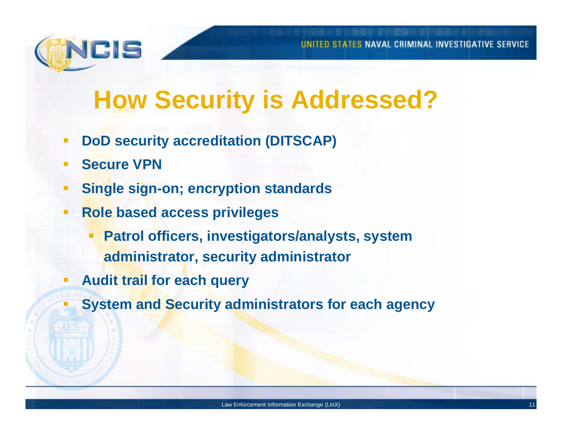

## **How Security is Addressed?**

- $\overline{\phantom{a}}$ **DoD security accreditation (DITSCAP)**
- $\overline{\phantom{a}}$ **Secure VPN**
- $\blacksquare$ **<u><b>•** Single sign-on; encryption standards</u>
- $\mathbb{R}^n$  **Role based access privileges**
	- T. **Patrol officers, investigators/analysts, system administrator, security administrator**
- **Audit trail for each query**
- **System and Security administrators for each agency**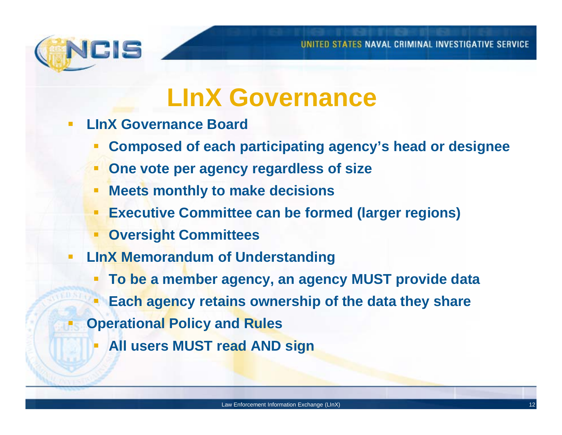

### **LInX Governance**

- **LInX Governance Board**
	- **Composed of each participating agency's head or designee**
	- **One vote per agency regardless of size**
	- $\Box$ **Meets monthly to make decisions**
	- **Executive Committee can be formed (larger regions)**
	- **Oversight Committees**
- $\Box$  **LInX Memorandum of Understanding**
	- **To be a member agency, an agency MUST provide data**
	- **Each agency retains ownership of the data they share ownership share**
- **Operational Policy and Rules**
	- **All users MUST read AND sign**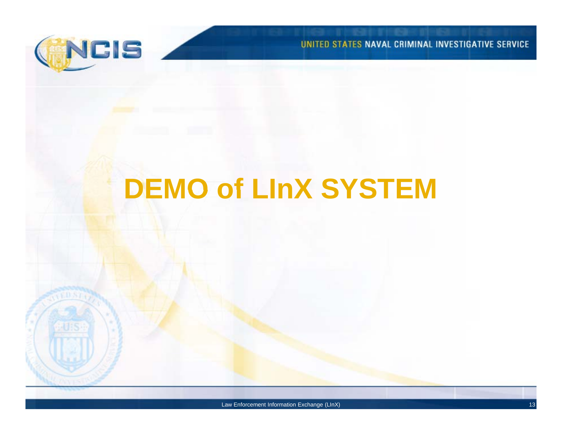

UNITED STATES NAVAL CRIMINAL INVESTIGATIVE SERVICE

# **DEMO of LInX SYSTEM LInX**